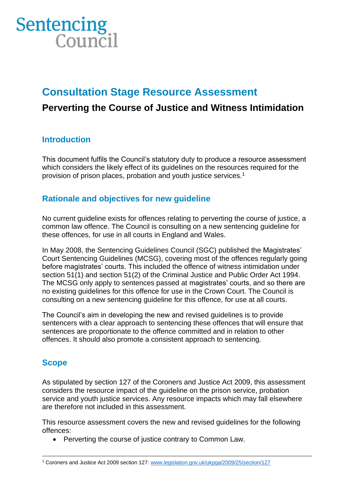

# **Consultation Stage Resource Assessment**

# **Perverting the Course of Justice and Witness Intimidation**

# **Introduction**

This document fulfils the Council's statutory duty to produce a resource assessment which considers the likely effect of its guidelines on the resources required for the provision of prison places, probation and youth justice services.<sup>1</sup>

# **Rationale and objectives for new guideline**

No current guideline exists for offences relating to perverting the course of justice, a common law offence. The Council is consulting on a new sentencing guideline for these offences, for use in all courts in England and Wales.

In May 2008, the Sentencing Guidelines Council (SGC) published the Magistrates' Court Sentencing Guidelines (MCSG), covering most of the offences regularly going before magistrates' courts. This included the offence of witness intimidation under section 51(1) and section 51(2) of the Criminal Justice and Public Order Act 1994. The MCSG only apply to sentences passed at magistrates' courts, and so there are no existing guidelines for this offence for use in the Crown Court. The Council is consulting on a new sentencing guideline for this offence, for use at all courts.

The Council's aim in developing the new and revised guidelines is to provide sentencers with a clear approach to sentencing these offences that will ensure that sentences are proportionate to the offence committed and in relation to other offences. It should also promote a consistent approach to sentencing.

# **Scope**

As stipulated by section 127 of the Coroners and Justice Act 2009, this assessment considers the resource impact of the guideline on the prison service, probation service and youth justice services. Any resource impacts which may fall elsewhere are therefore not included in this assessment.

This resource assessment covers the new and revised guidelines for the following offences:

• Perverting the course of justice contrary to Common Law.

<sup>1</sup> Coroners and Justice Act 2009 section 127: [www.legislation.gov.uk/ukpga/2009/25/section/127](http://www.legislation.gov.uk/ukpga/2009/25/section/127)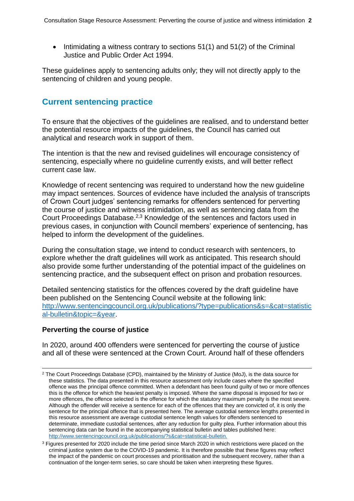• Intimidating a witness contrary to sections 51(1) and 51(2) of the Criminal Justice and Public Order Act 1994.

These guidelines apply to sentencing adults only; they will not directly apply to the sentencing of children and young people.

# **Current sentencing practice**

To ensure that the objectives of the guidelines are realised, and to understand better the potential resource impacts of the guidelines, the Council has carried out analytical and research work in support of them.

The intention is that the new and revised guidelines will encourage consistency of sentencing, especially where no guideline currently exists, and will better reflect current case law.

Knowledge of recent sentencing was required to understand how the new guideline may impact sentences. Sources of evidence have included the analysis of transcripts of Crown Court judges' sentencing remarks for offenders sentenced for perverting the course of justice and witness intimidation, as well as sentencing data from the Court Proceedings Database.<sup>2,3</sup> Knowledge of the sentences and factors used in previous cases, in conjunction with Council members' experience of sentencing, has helped to inform the development of the guidelines.

During the consultation stage, we intend to conduct research with sentencers, to explore whether the draft guidelines will work as anticipated. This research should also provide some further understanding of the potential impact of the guidelines on sentencing practice, and the subsequent effect on prison and probation resources.

Detailed sentencing statistics for the offences covered by the draft guideline have been published on the Sentencing Council website at the following link: [http://www.sentencingcouncil.org.uk/publications/?type=publications&s=&cat=statistic](http://www.sentencingcouncil.org.uk/publications/?type=publications&s=&cat=statistical-bulletin&topic=&year) [al-bulletin&topic=&year.](http://www.sentencingcouncil.org.uk/publications/?type=publications&s=&cat=statistical-bulletin&topic=&year)

## **Perverting the course of justice**

In 2020, around 400 offenders were sentenced for perverting the course of justice and all of these were sentenced at the Crown Court. Around half of these offenders

<sup>&</sup>lt;sup>2</sup> The Court Proceedings Database (CPD), maintained by the Ministry of Justice (MoJ), is the data source for these statistics. The data presented in this resource assessment only include cases where the specified offence was the principal offence committed. When a defendant has been found guilty of two or more offences this is the offence for which the heaviest penalty is imposed. Where the same disposal is imposed for two or more offences, the offence selected is the offence for which the statutory maximum penalty is the most severe. Although the offender will receive a sentence for each of the offences that they are convicted of, it is only the sentence for the principal offence that is presented here. The average custodial sentence lengths presented in this resource assessment are average custodial sentence length values for offenders sentenced to determinate, immediate custodial sentences, after any reduction for guilty plea. Further information about this sentencing data can be found in the accompanying statistical bulletin and tables published here: <http://www.sentencingcouncil.org.uk/publications/?s&cat=statistical-bulletin.>

<sup>&</sup>lt;sup>3</sup> Figures presented for 2020 include the time period since March 2020 in which restrictions were placed on the criminal justice system due to the COVID-19 pandemic. It is therefore possible that these figures may reflect the impact of the pandemic on court processes and prioritisation and the subsequent recovery, rather than a continuation of the longer-term series, so care should be taken when interpreting these figures.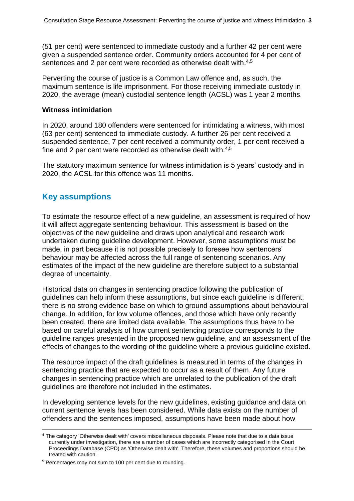<span id="page-2-1"></span><span id="page-2-0"></span>(51 per cent) were sentenced to immediate custody and a further 42 per cent were given a suspended sentence order. Community orders accounted for 4 per cent of sentences and 2 per cent were recorded as otherwise dealt with.<sup>4,5</sup>

Perverting the course of justice is a Common Law offence and, as such, the maximum sentence is life imprisonment. For those receiving immediate custody in 2020, the average (mean) custodial sentence length (ACSL) was 1 year 2 months.

#### **Witness intimidation**

In 2020, around 180 offenders were sentenced for intimidating a witness, with most (63 per cent) sentenced to immediate custody. A further 26 per cent received a suspended sentence, 7 per cent received a community order, 1 per cent received a fine and 2 per cent were recorded as otherwise dealt with.<sup>[4](#page-2-0)[,5](#page-2-1)</sup>

The statutory maximum sentence for witness intimidation is 5 years' custody and in 2020, the ACSL for this offence was 11 months.

## **Key assumptions**

To estimate the resource effect of a new guideline, an assessment is required of how it will affect aggregate sentencing behaviour. This assessment is based on the objectives of the new guideline and draws upon analytical and research work undertaken during guideline development. However, some assumptions must be made, in part because it is not possible precisely to foresee how sentencers' behaviour may be affected across the full range of sentencing scenarios. Any estimates of the impact of the new guideline are therefore subject to a substantial degree of uncertainty.

Historical data on changes in sentencing practice following the publication of guidelines can help inform these assumptions, but since each guideline is different, there is no strong evidence base on which to ground assumptions about behavioural change. In addition, for low volume offences, and those which have only recently been created, there are limited data available. The assumptions thus have to be based on careful analysis of how current sentencing practice corresponds to the guideline ranges presented in the proposed new guideline, and an assessment of the effects of changes to the wording of the guideline where a previous guideline existed.

The resource impact of the draft guidelines is measured in terms of the changes in sentencing practice that are expected to occur as a result of them. Any future changes in sentencing practice which are unrelated to the publication of the draft guidelines are therefore not included in the estimates.

In developing sentence levels for the new guidelines, existing guidance and data on current sentence levels has been considered. While data exists on the number of offenders and the sentences imposed, assumptions have been made about how

<sup>4</sup> The category 'Otherwise dealt with' covers miscellaneous disposals. Please note that due to a data issue currently under investigation, there are a number of cases which are incorrectly categorised in the Court Proceedings Database (CPD) as 'Otherwise dealt with'. Therefore, these volumes and proportions should be treated with caution.

<sup>5</sup> Percentages may not sum to 100 per cent due to rounding.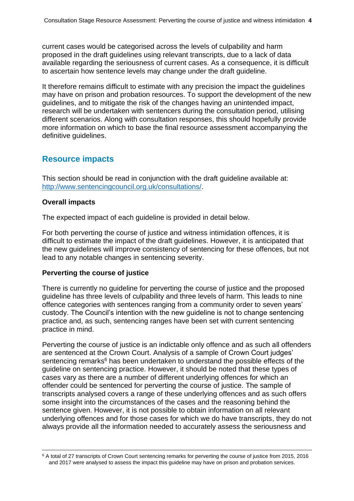current cases would be categorised across the levels of culpability and harm proposed in the draft guidelines using relevant transcripts, due to a lack of data available regarding the seriousness of current cases. As a consequence, it is difficult to ascertain how sentence levels may change under the draft guideline.

It therefore remains difficult to estimate with any precision the impact the guidelines may have on prison and probation resources. To support the development of the new guidelines, and to mitigate the risk of the changes having an unintended impact, research will be undertaken with sentencers during the consultation period, utilising different scenarios. Along with consultation responses, this should hopefully provide more information on which to base the final resource assessment accompanying the definitive guidelines.

# **Resource impacts**

This section should be read in conjunction with the draft guideline available at: [http://www.sentencingcouncil.org.uk/consultations/.](http://www.sentencingcouncil.org.uk/consultations/)

## **Overall impacts**

The expected impact of each guideline is provided in detail below.

For both perverting the course of justice and witness intimidation offences, it is difficult to estimate the impact of the draft guidelines. However, it is anticipated that the new guidelines will improve consistency of sentencing for these offences, but not lead to any notable changes in sentencing severity.

## **Perverting the course of justice**

There is currently no guideline for perverting the course of justice and the proposed guideline has three levels of culpability and three levels of harm. This leads to nine offence categories with sentences ranging from a community order to seven years' custody. The Council's intention with the new guideline is not to change sentencing practice and, as such, sentencing ranges have been set with current sentencing practice in mind.

Perverting the course of justice is an indictable only offence and as such all offenders are sentenced at the Crown Court. Analysis of a sample of Crown Court judges' sentencing remarks<sup>6</sup> has been undertaken to understand the possible effects of the guideline on sentencing practice. However, it should be noted that these types of cases vary as there are a number of different underlying offences for which an offender could be sentenced for perverting the course of justice. The sample of transcripts analysed covers a range of these underlying offences and as such offers some insight into the circumstances of the cases and the reasoning behind the sentence given. However, it is not possible to obtain information on all relevant underlying offences and for those cases for which we do have transcripts, they do not always provide all the information needed to accurately assess the seriousness and

<sup>6</sup> A total of 27 transcripts of Crown Court sentencing remarks for perverting the course of justice from 2015, 2016 and 2017 were analysed to assess the impact this guideline may have on prison and probation services.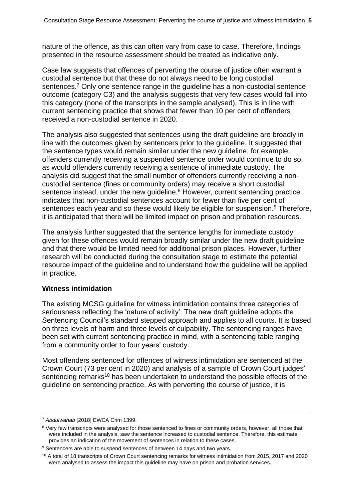nature of the offence, as this can often vary from case to case. Therefore, findings presented in the resource assessment should be treated as indicative only.

Case law suggests that offences of perverting the course of justice often warrant a custodial sentence but that these do not always need to be long custodial sentences.<sup>7</sup> Only one sentence range in the guideline has a non-custodial sentence outcome (category C3) and the analysis suggests that very few cases would fall into this category (none of the transcripts in the sample analysed). This is in line with current sentencing practice that shows that fewer than 10 per cent of offenders received a non-custodial sentence in 2020.

The analysis also suggested that sentences using the draft guideline are broadly in line with the outcomes given by sentencers prior to the guideline. It suggested that the sentence types would remain similar under the new guideline; for example, offenders currently receiving a suspended sentence order would continue to do so, as would offenders currently receiving a sentence of immediate custody. The analysis did suggest that the small number of offenders currently receiving a noncustodial sentence (fines or community orders) may receive a short custodial sentence instead, under the new quideline.<sup>8</sup> However, current sentencing practice indicates that non-custodial sentences account for fewer than five per cent of sentences each year and so these would likely be eligible for suspension.<sup>9</sup> Therefore, it is anticipated that there will be limited impact on prison and probation resources.

The analysis further suggested that the sentence lengths for immediate custody given for these offences would remain broadly similar under the new draft guideline and that there would be limited need for additional prison places. However, further research will be conducted during the consultation stage to estimate the potential resource impact of the guideline and to understand how the guideline will be applied in practice.

## **Witness intimidation**

The existing MCSG guideline for witness intimidation contains three categories of seriousness reflecting the 'nature of activity'. The new draft guideline adopts the Sentencing Council's standard stepped approach and applies to all courts. It is based on three levels of harm and three levels of culpability. The sentencing ranges have been set with current sentencing practice in mind, with a sentencing table ranging from a community order to four years' custody.

Most offenders sentenced for offences of witness intimidation are sentenced at the Crown Court (73 per cent in 2020) and analysis of a sample of Crown Court judges' sentencing remarks<sup>10</sup> has been undertaken to understand the possible effects of the guideline on sentencing practice. As with perverting the course of justice, it is

<sup>7</sup> *Abdulwahab* [2018] EWCA Crim 1399.

<sup>&</sup>lt;sup>8</sup> Very few transcripts were analysed for those sentenced to fines or community orders, however, all those that were included in the analysis, saw the sentence increased to custodial sentence. Therefore, this estimate provides an indication of the movement of sentences in relation to these cases.

<sup>&</sup>lt;sup>9</sup> Sentencers are able to suspend sentences of between 14 days and two years.

 $10$  A total of 18 transcripts of Crown Court sentencing remarks for witness intimidation from 2015, 2017 and 2020 were analysed to assess the impact this guideline may have on prison and probation services.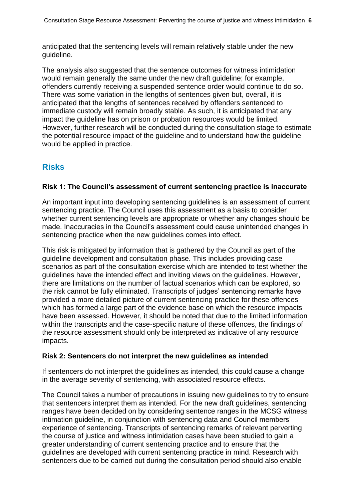anticipated that the sentencing levels will remain relatively stable under the new guideline.

The analysis also suggested that the sentence outcomes for witness intimidation would remain generally the same under the new draft guideline; for example, offenders currently receiving a suspended sentence order would continue to do so. There was some variation in the lengths of sentences given but, overall, it is anticipated that the lengths of sentences received by offenders sentenced to immediate custody will remain broadly stable. As such, it is anticipated that any impact the guideline has on prison or probation resources would be limited. However, further research will be conducted during the consultation stage to estimate the potential resource impact of the guideline and to understand how the guideline would be applied in practice.

# **Risks**

## **Risk 1: The Council's assessment of current sentencing practice is inaccurate**

An important input into developing sentencing guidelines is an assessment of current sentencing practice. The Council uses this assessment as a basis to consider whether current sentencing levels are appropriate or whether any changes should be made. Inaccuracies in the Council's assessment could cause unintended changes in sentencing practice when the new guidelines comes into effect.

This risk is mitigated by information that is gathered by the Council as part of the guideline development and consultation phase. This includes providing case scenarios as part of the consultation exercise which are intended to test whether the guidelines have the intended effect and inviting views on the guidelines. However, there are limitations on the number of factual scenarios which can be explored, so the risk cannot be fully eliminated. Transcripts of judges' sentencing remarks have provided a more detailed picture of current sentencing practice for these offences which has formed a large part of the evidence base on which the resource impacts have been assessed. However, it should be noted that due to the limited information within the transcripts and the case-specific nature of these offences, the findings of the resource assessment should only be interpreted as indicative of any resource impacts.

## **Risk 2: Sentencers do not interpret the new guidelines as intended**

If sentencers do not interpret the guidelines as intended, this could cause a change in the average severity of sentencing, with associated resource effects.

The Council takes a number of precautions in issuing new guidelines to try to ensure that sentencers interpret them as intended. For the new draft guidelines, sentencing ranges have been decided on by considering sentence ranges in the MCSG witness intimation guideline, in conjunction with sentencing data and Council members' experience of sentencing. Transcripts of sentencing remarks of relevant perverting the course of justice and witness intimidation cases have been studied to gain a greater understanding of current sentencing practice and to ensure that the guidelines are developed with current sentencing practice in mind. Research with sentencers due to be carried out during the consultation period should also enable